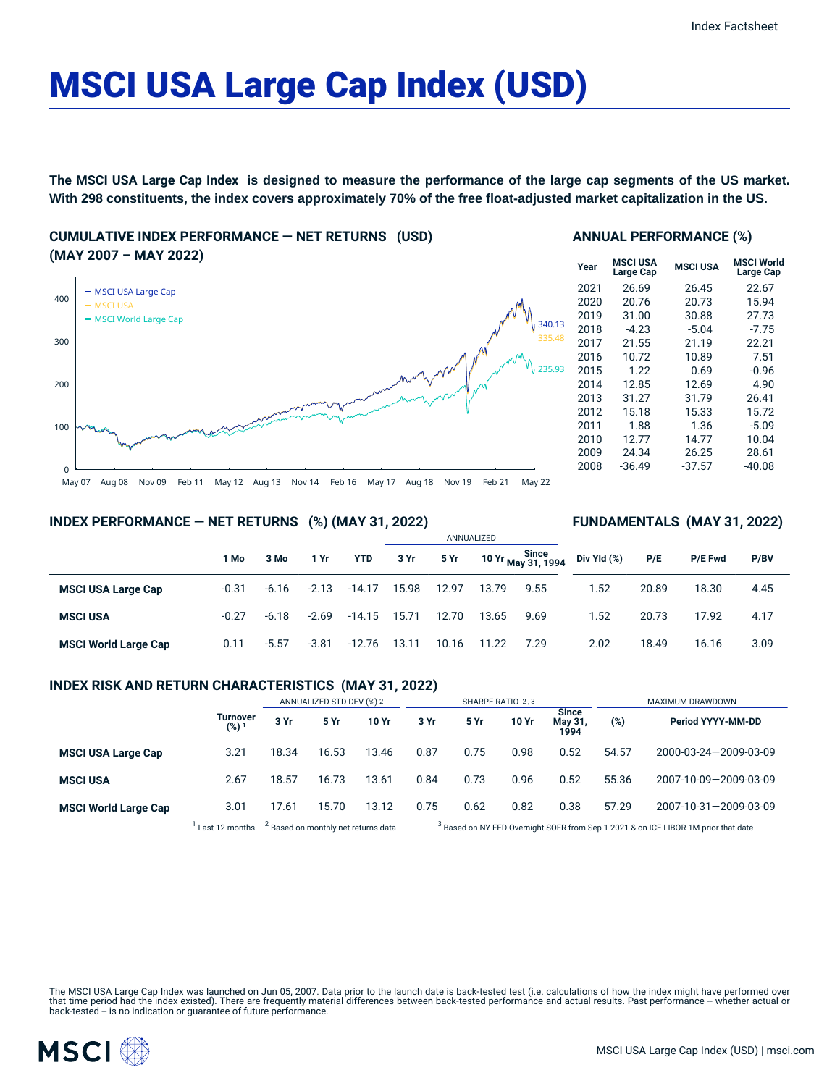# MSCI USA Large Cap Index (USD)

**The MSCI USA Large Cap Index is designed to measure the performance of the large cap segments of the US market. With 298 constituents, the index covers approximately 70% of the free float-adjusted market capitalization in the US.**

**CUMULATIVE INDEX PERFORMANCE — NET RETURNS (USD) (MAY 2007 – MAY 2022)**



## **ANNUAL PERFORMANCE (%)**

| Year | <b>MSCI USA</b><br>Large Cap | <b>MSCI USA</b> | <b>MSCI World</b><br>Large Cap |
|------|------------------------------|-----------------|--------------------------------|
| 2021 | 26.69                        | 26.45           | 22.67                          |
| 2020 | 20.76                        | 20.73           | 15.94                          |
| 2019 | 31.00                        | 30.88           | 27.73                          |
| 2018 | $-4.23$                      | $-5.04$         | $-7.75$                        |
| 2017 | 21.55                        | 21.19           | 22.21                          |
| 2016 | 10.72                        | 10.89           | 7.51                           |
| 2015 | 1.22                         | 0.69            | $-0.96$                        |
| 2014 | 12.85                        | 12.69           | 4.90                           |
| 2013 | 31.27                        | 31.79           | 26.41                          |
| 2012 | 15.18                        | 15.33           | 15.72                          |
| 2011 | 1.88                         | 1.36            | $-5.09$                        |
| 2010 | 12.77                        | 14.77           | 10.04                          |
| 2009 | 24.34                        | 26.25           | 28.61                          |
| 2008 | -36.49                       | $-37.57$        | -40.08                         |

**FUNDAMENTALS (MAY 31, 2022)**

## **INDEX PERFORMANCE — NET RETURNS (%) (MAY 31, 2022)**

|                             |         |         |         |            |       |       | ANNUALIZED |                                  |             |       |         |      |  |
|-----------------------------|---------|---------|---------|------------|-------|-------|------------|----------------------------------|-------------|-------|---------|------|--|
|                             | 1 Mo    | 3 Mo    | 1 Yr    | <b>YTD</b> | 3 Yr  | 5 Yr  |            | 10 Yr Since<br>1994 May 31, 1994 | Div Yld (%) | P/E   | P/E Fwd | P/BV |  |
| <b>MSCI USA Large Cap</b>   | $-0.31$ | $-6.16$ | $-2.13$ | $-14.17$   | 15.98 | 12.97 | 13.79      | 9.55                             | .52         | 20.89 | 18.30   | 4.45 |  |
| <b>MSCI USA</b>             | $-0.27$ | $-6.18$ | $-2.69$ | -14.15     | 15.71 | 12.70 | 13.65      | 9.69                             | 1.52        | 20.73 | 17.92   | 4.17 |  |
| <b>MSCI World Large Cap</b> | 0.11    | $-5.57$ | $-3.81$ | $-12.76$   | 13.11 | 10.16 | 11.22      | 7.29                             | 2.02        | 18.49 | 16.16   | 3.09 |  |

## **INDEX RISK AND RETURN CHARACTERISTICS (MAY 31, 2022)**

|                             |                       | ANNUALIZED STD DEV (%) 2 |                                                |       | SHARPE RATIO 2,3 |                                                                                               |       |                          | MAXIMUM DRAWDOWN |                       |  |
|-----------------------------|-----------------------|--------------------------|------------------------------------------------|-------|------------------|-----------------------------------------------------------------------------------------------|-------|--------------------------|------------------|-----------------------|--|
|                             | Turnover<br>$(%)^{1}$ | 3 Yr                     | 5 Yr                                           | 10 Yr | 3 Yr             | <b>5 Yr</b>                                                                                   | 10 Yr | Since<br>May 31,<br>1994 | (%)              | Period YYYY-MM-DD     |  |
| <b>MSCI USA Large Cap</b>   | 3.21                  | 18.34                    | 16.53                                          | 13.46 | 0.87             | 0.75                                                                                          | 0.98  | 0.52                     | 54.57            | 2000-03-24-2009-03-09 |  |
| <b>MSCI USA</b>             | 2.67                  | 18.57                    | 16.73                                          | 13.61 | 0.84             | 0.73                                                                                          | 0.96  | 0.52                     | 55.36            | 2007-10-09-2009-03-09 |  |
| <b>MSCI World Large Cap</b> | 3.01                  | 17.61                    | 15.70                                          | 13.12 | 0.75             | 0.62                                                                                          | 0.82  | 0.38                     | 57.29            | 2007-10-31-2009-03-09 |  |
|                             | Last 12 months        |                          | <sup>2</sup> Based on monthly net returns data |       |                  | <sup>3</sup> Based on NY FED Overnight SOFR from Sep 1 2021 & on ICE LIBOR 1M prior that date |       |                          |                  |                       |  |

The MSCI USA Large Cap Index was launched on Jun 05, 2007. Data prior to the launch date is back-tested test (i.e. calculations of how the index might have performed over that time period had the index existed). There are frequently material differences between back-tested performance and actual results. Past performance -- whether actual or<br>back-tested -- is no indication or guarantee of f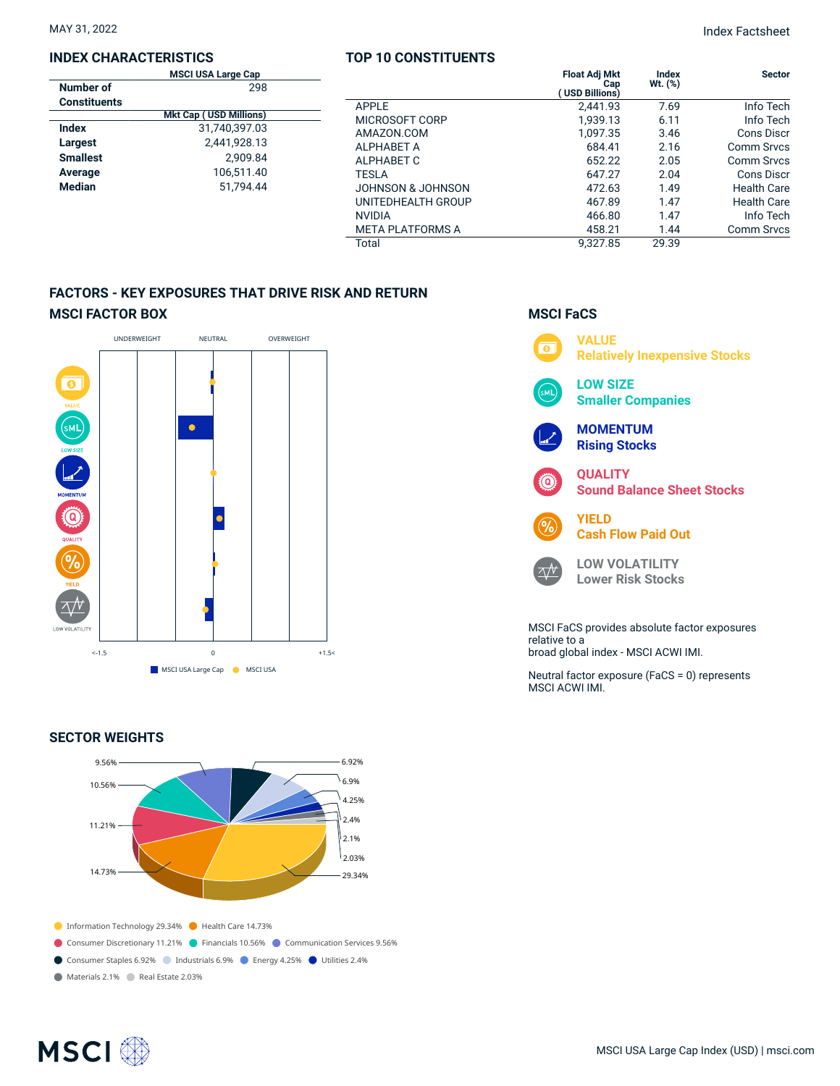## **INDEX CHARACTERISTICS**

|                     | <b>MSCI USA Large Cap</b>     |  |
|---------------------|-------------------------------|--|
| Number of           | 298                           |  |
| <b>Constituents</b> |                               |  |
|                     | <b>Mkt Cap (USD Millions)</b> |  |
| Index               | 31.740.397.03                 |  |
| Largest             | 2,441,928.13                  |  |
| <b>Smallest</b>     | 2.909.84                      |  |
| Average             | 106.511.40                    |  |
| <b>Median</b>       | 51.794.44                     |  |
|                     |                               |  |

## **TOP 10 CONSTITUENTS**

|                         | <b>Float Adj Mkt</b><br>Cap<br><b>USD Billions)</b> | Index<br>$Wt.$ (%) | <b>Sector</b>      |
|-------------------------|-----------------------------------------------------|--------------------|--------------------|
| APPLE                   | 2,441.93                                            | 7.69               | Info Tech          |
| MICROSOFT CORP          | 1.939.13                                            | 6.11               | Info Tech          |
| AMAZON.COM              | 1,097.35                                            | 3.46               | Cons Discr         |
| <b>ALPHABET A</b>       | 684.41                                              | 2.16               | Comm Srvcs         |
| ALPHABET C              | 652.22                                              | 2.05               | Comm Srvcs         |
| <b>TESLA</b>            | 647.27                                              | 2.04               | Cons Discr         |
| JOHNSON & JOHNSON       | 472.63                                              | 1.49               | <b>Health Care</b> |
| UNITEDHEALTH GROUP      | 467.89                                              | 1.47               | <b>Health Care</b> |
| <b>NVIDIA</b>           | 466.80                                              | 1.47               | Info Tech          |
| <b>META PLATFORMS A</b> | 458.21                                              | 1.44               | <b>Comm Srvcs</b>  |
| Total                   | 9.327.85                                            | 29.39              |                    |

## **FACTORS - KEY EXPOSURES THAT DRIVE RISK AND RETURN MSCI FACTOR BOX**



## **SECTOR WEIGHTS**



## **MSCI FaCS VALUE**  $\overline{\bullet}$ **Relatively Inexpensive Stocks LOW SIZE Smaller Companies MOMENTUM Rising Stocks QUALITY Sound Balance Sheet Stocks YIELD Cash Flow Paid Out LOW VOLATILITY**  $\Delta N$ **Lower Risk Stocks** MSCI FaCS provides absolute factor exposures relative to a

broad global index - MSCI ACWI IMI.

Neutral factor exposure (FaCS = 0) represents MSCI ACWI IMI.